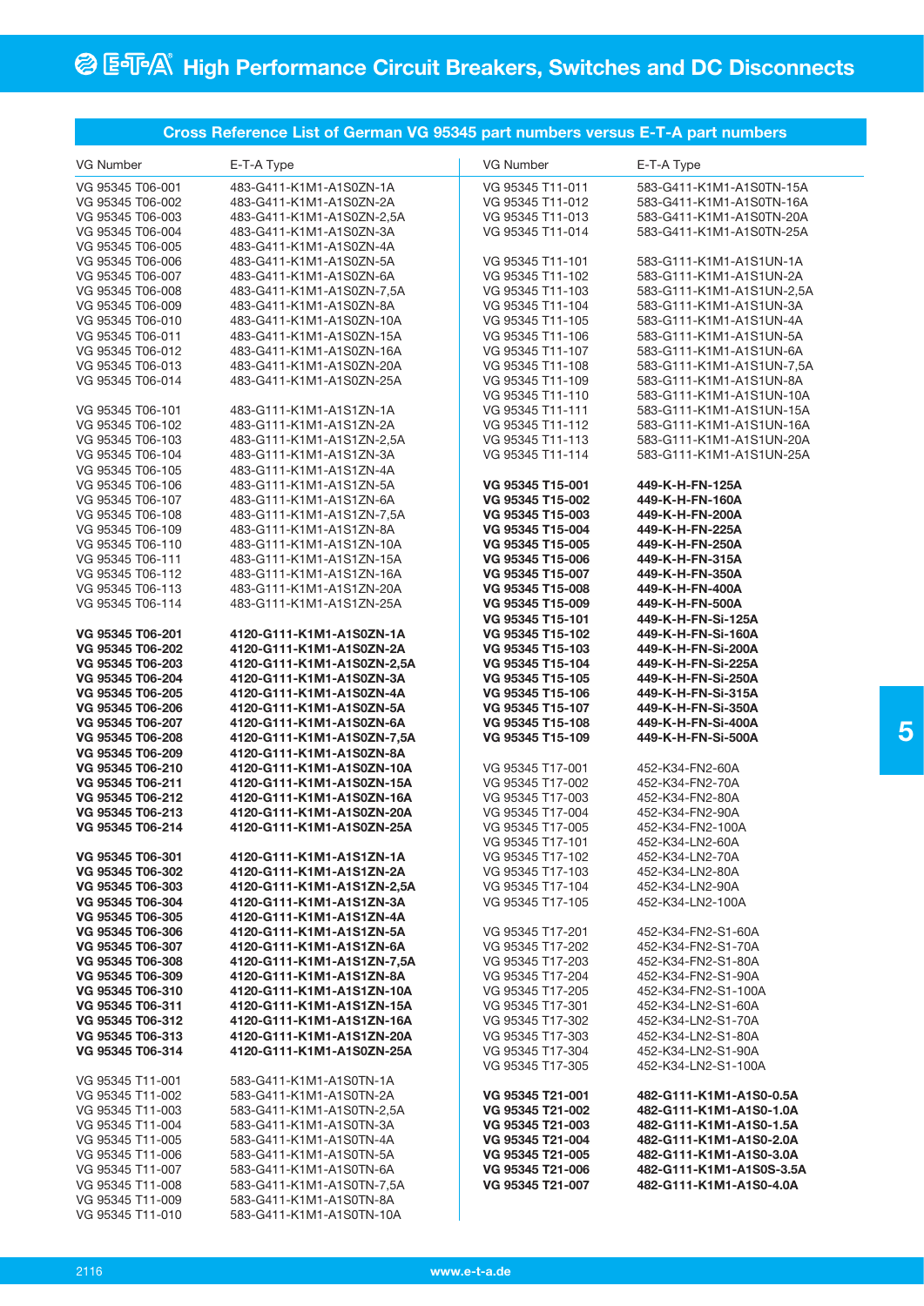|                  | Cross Reference List of German VG 95345 part numbers versus E-T-A part numbers |                  |                           |
|------------------|--------------------------------------------------------------------------------|------------------|---------------------------|
| VG Number        | E-T-A Type                                                                     | VG Number        | E-T-A Type                |
| VG 95345 T06-001 | 483-G411-K1M1-A1S0ZN-1A                                                        | VG 95345 T11-011 | 583-G411-K1M1-A1S0TN-15A  |
| VG 95345 T06-002 | 483-G411-K1M1-A1S0ZN-2A                                                        | VG 95345 T11-012 | 583-G411-K1M1-A1S0TN-16A  |
| VG 95345 T06-003 | 483-G411-K1M1-A1S0ZN-2,5A                                                      | VG 95345 T11-013 | 583-G411-K1M1-A1S0TN-20A  |
| VG 95345 T06-004 | 483-G411-K1M1-A1S0ZN-3A                                                        | VG 95345 T11-014 | 583-G411-K1M1-A1S0TN-25A  |
|                  |                                                                                |                  |                           |
| VG 95345 T06-005 | 483-G411-K1M1-A1S0ZN-4A                                                        |                  |                           |
| VG 95345 T06-006 | 483-G411-K1M1-A1S0ZN-5A                                                        | VG 95345 T11-101 | 583-G111-K1M1-A1S1UN-1A   |
| VG 95345 T06-007 | 483-G411-K1M1-A1S0ZN-6A                                                        | VG 95345 T11-102 | 583-G111-K1M1-A1S1UN-2A   |
| VG 95345 T06-008 | 483-G411-K1M1-A1S0ZN-7,5A                                                      | VG 95345 T11-103 | 583-G111-K1M1-A1S1UN-2,5A |
| VG 95345 T06-009 | 483-G411-K1M1-A1S0ZN-8A                                                        | VG 95345 T11-104 | 583-G111-K1M1-A1S1UN-3A   |
| VG 95345 T06-010 | 483-G411-K1M1-A1S0ZN-10A                                                       | VG 95345 T11-105 | 583-G111-K1M1-A1S1UN-4A   |
| VG 95345 T06-011 | 483-G411-K1M1-A1S0ZN-15A                                                       | VG 95345 T11-106 | 583-G111-K1M1-A1S1UN-5A   |
| VG 95345 T06-012 | 483-G411-K1M1-A1S0ZN-16A                                                       | VG 95345 T11-107 | 583-G111-K1M1-A1S1UN-6A   |
| VG 95345 T06-013 | 483-G411-K1M1-A1S0ZN-20A                                                       | VG 95345 T11-108 | 583-G111-K1M1-A1S1UN-7,5A |
| VG 95345 T06-014 | 483-G411-K1M1-A1S0ZN-25A                                                       | VG 95345 T11-109 | 583-G111-K1M1-A1S1UN-8A   |
|                  |                                                                                | VG 95345 T11-110 | 583-G111-K1M1-A1S1UN-10A  |
| VG 95345 T06-101 | 483-G111-K1M1-A1S1ZN-1A                                                        | VG 95345 T11-111 | 583-G111-K1M1-A1S1UN-15A  |
| VG 95345 T06-102 | 483-G111-K1M1-A1S1ZN-2A                                                        | VG 95345 T11-112 | 583-G111-K1M1-A1S1UN-16A  |
| VG 95345 T06-103 | 483-G111-K1M1-A1S1ZN-2,5A                                                      | VG 95345 T11-113 | 583-G111-K1M1-A1S1UN-20A  |
|                  |                                                                                | VG 95345 T11-114 |                           |
| VG 95345 T06-104 | 483-G111-K1M1-A1S1ZN-3A                                                        |                  | 583-G111-K1M1-A1S1UN-25A  |
| VG 95345 T06-105 | 483-G111-K1M1-A1S1ZN-4A                                                        |                  |                           |
| VG 95345 T06-106 | 483-G111-K1M1-A1S1ZN-5A                                                        | VG 95345 T15-001 | 449-K-H-FN-125A           |
| VG 95345 T06-107 | 483-G111-K1M1-A1S1ZN-6A                                                        | VG 95345 T15-002 | 449-K-H-FN-160A           |
| VG 95345 T06-108 | 483-G111-K1M1-A1S1ZN-7,5A                                                      | VG 95345 T15-003 | 449-K-H-FN-200A           |
| VG 95345 T06-109 | 483-G111-K1M1-A1S1ZN-8A                                                        | VG 95345 T15-004 | 449-K-H-FN-225A           |
| VG 95345 T06-110 | 483-G111-K1M1-A1S1ZN-10A                                                       | VG 95345 T15-005 | 449-K-H-FN-250A           |
| VG 95345 T06-111 | 483-G111-K1M1-A1S1ZN-15A                                                       | VG 95345 T15-006 | 449-K-H-FN-315A           |
| VG 95345 T06-112 | 483-G111-K1M1-A1S1ZN-16A                                                       | VG 95345 T15-007 | 449-K-H-FN-350A           |
| VG 95345 T06-113 | 483-G111-K1M1-A1S1ZN-20A                                                       | VG 95345 T15-008 | 449-K-H-FN-400A           |
| VG 95345 T06-114 | 483-G111-K1M1-A1S1ZN-25A                                                       | VG 95345 T15-009 | 449-K-H-FN-500A           |
|                  |                                                                                | VG 95345 T15-101 | 449-K-H-FN-Si-125A        |
| VG 95345 T06-201 |                                                                                | VG 95345 T15-102 | 449-K-H-FN-Si-160A        |
|                  | 4120-G111-K1M1-A1S0ZN-1A                                                       |                  |                           |
| VG 95345 T06-202 | 4120-G111-K1M1-A1S0ZN-2A                                                       | VG 95345 T15-103 | 449-K-H-FN-Si-200A        |
| VG 95345 T06-203 | 4120-G111-K1M1-A1S0ZN-2,5A                                                     | VG 95345 T15-104 | 449-K-H-FN-Si-225A        |
| VG 95345 T06-204 | 4120-G111-K1M1-A1S0ZN-3A                                                       | VG 95345 T15-105 | 449-K-H-FN-Si-250A        |
| VG 95345 T06-205 | 4120-G111-K1M1-A1S0ZN-4A                                                       | VG 95345 T15-106 | 449-K-H-FN-Si-315A        |
| VG 95345 T06-206 | 4120-G111-K1M1-A1S0ZN-5A                                                       | VG 95345 T15-107 | 449-K-H-FN-Si-350A        |
| VG 95345 T06-207 | 4120-G111-K1M1-A1S0ZN-6A                                                       | VG 95345 T15-108 | 449-K-H-FN-Si-400A        |
| VG 95345 T06-208 | 4120-G111-K1M1-A1S0ZN-7,5A                                                     | VG 95345 T15-109 | 449-K-H-FN-Si-500A        |
| VG 95345 T06-209 | 4120-G111-K1M1-A1S0ZN-8A                                                       |                  |                           |
| VG 95345 T06-210 | 4120-G111-K1M1-A1S0ZN-10A                                                      | VG 95345 T17-001 | 452-K34-FN2-60A           |
| VG 95345 T06-211 | 4120-G111-K1M1-A1S0ZN-15A                                                      | VG 95345 T17-002 | 452-K34-FN2-70A           |
| VG 95345 T06-212 | 4120-G111-K1M1-A1S0ZN-16A                                                      | VG 95345 T17-003 | 452-K34-FN2-80A           |
| VG 95345 T06-213 | 4120-G111-K1M1-A1S0ZN-20A                                                      | VG 95345 T17-004 | 452-K34-FN2-90A           |
| VG 95345 T06-214 | 4120-G111-K1M1-A1S0ZN-25A                                                      | VG 95345 T17-005 | 452-K34-FN2-100A          |
|                  |                                                                                | VG 95345 T17-101 | 452-K34-LN2-60A           |
| VG 95345 T06-301 | 4120-G111-K1M1-A1S1ZN-1A                                                       | VG 95345 T17-102 | 452-K34-LN2-70A           |
| VG 95345 T06-302 | 4120-G111-K1M1-A1S1ZN-2A                                                       | VG 95345 T17-103 | 452-K34-LN2-80A           |
| VG 95345 T06-303 | 4120-G111-K1M1-A1S1ZN-2,5A                                                     | VG 95345 T17-104 | 452-K34-LN2-90A           |
| VG 95345 T06-304 | 4120-G111-K1M1-A1S1ZN-3A                                                       | VG 95345 T17-105 | 452-K34-LN2-100A          |
| VG 95345 T06-305 | 4120-G111-K1M1-A1S1ZN-4A                                                       |                  |                           |
| VG 95345 T06-306 |                                                                                |                  |                           |
|                  | 4120-G111-K1M1-A1S1ZN-5A                                                       | VG 95345 T17-201 | 452-K34-FN2-S1-60A        |
| VG 95345 T06-307 | 4120-G111-K1M1-A1S1ZN-6A                                                       | VG 95345 T17-202 | 452-K34-FN2-S1-70A        |
| VG 95345 T06-308 | 4120-G111-K1M1-A1S1ZN-7,5A                                                     | VG 95345 T17-203 | 452-K34-FN2-S1-80A        |
| VG 95345 T06-309 | 4120-G111-K1M1-A1S1ZN-8A                                                       | VG 95345 T17-204 | 452-K34-FN2-S1-90A        |
| VG 95345 T06-310 | 4120-G111-K1M1-A1S1ZN-10A                                                      | VG 95345 T17-205 | 452-K34-FN2-S1-100A       |
| VG 95345 T06-311 | 4120-G111-K1M1-A1S1ZN-15A                                                      | VG 95345 T17-301 | 452-K34-LN2-S1-60A        |
| VG 95345 T06-312 | 4120-G111-K1M1-A1S1ZN-16A                                                      | VG 95345 T17-302 | 452-K34-LN2-S1-70A        |
| VG 95345 T06-313 | 4120-G111-K1M1-A1S1ZN-20A                                                      | VG 95345 T17-303 | 452-K34-LN2-S1-80A        |
| VG 95345 T06-314 | 4120-G111-K1M1-A1S0ZN-25A                                                      | VG 95345 T17-304 | 452-K34-LN2-S1-90A        |
|                  |                                                                                | VG 95345 T17-305 | 452-K34-LN2-S1-100A       |
| VG 95345 T11-001 | 583-G411-K1M1-A1S0TN-1A                                                        |                  |                           |
| VG 95345 T11-002 | 583-G411-K1M1-A1S0TN-2A                                                        | VG 95345 T21-001 | 482-G111-K1M1-A1S0-0.5A   |
| VG 95345 T11-003 | 583-G411-K1M1-A1S0TN-2,5A                                                      | VG 95345 T21-002 | 482-G111-K1M1-A1S0-1.0A   |
| VG 95345 T11-004 | 583-G411-K1M1-A1S0TN-3A                                                        | VG 95345 T21-003 | 482-G111-K1M1-A1S0-1.5A   |
|                  |                                                                                |                  |                           |
| VG 95345 T11-005 | 583-G411-K1M1-A1S0TN-4A                                                        | VG 95345 T21-004 | 482-G111-K1M1-A1S0-2.0A   |
| VG 95345 T11-006 | 583-G411-K1M1-A1S0TN-5A                                                        | VG 95345 T21-005 | 482-G111-K1M1-A1S0-3.0A   |
| VG 95345 T11-007 | 583-G411-K1M1-A1S0TN-6A                                                        | VG 95345 T21-006 | 482-G111-K1M1-A1S0S-3.5A  |
| VG 95345 T11-008 | 583-G411-K1M1-A1S0TN-7,5A                                                      | VG 95345 T21-007 | 482-G111-K1M1-A1S0-4.0A   |
| VG 95345 T11-009 | 583-G411-K1M1-A1S0TN-8A                                                        |                  |                           |
| VG 95345 T11-010 | 583-G411-K1M1-A1S0TN-10A                                                       |                  |                           |

**5**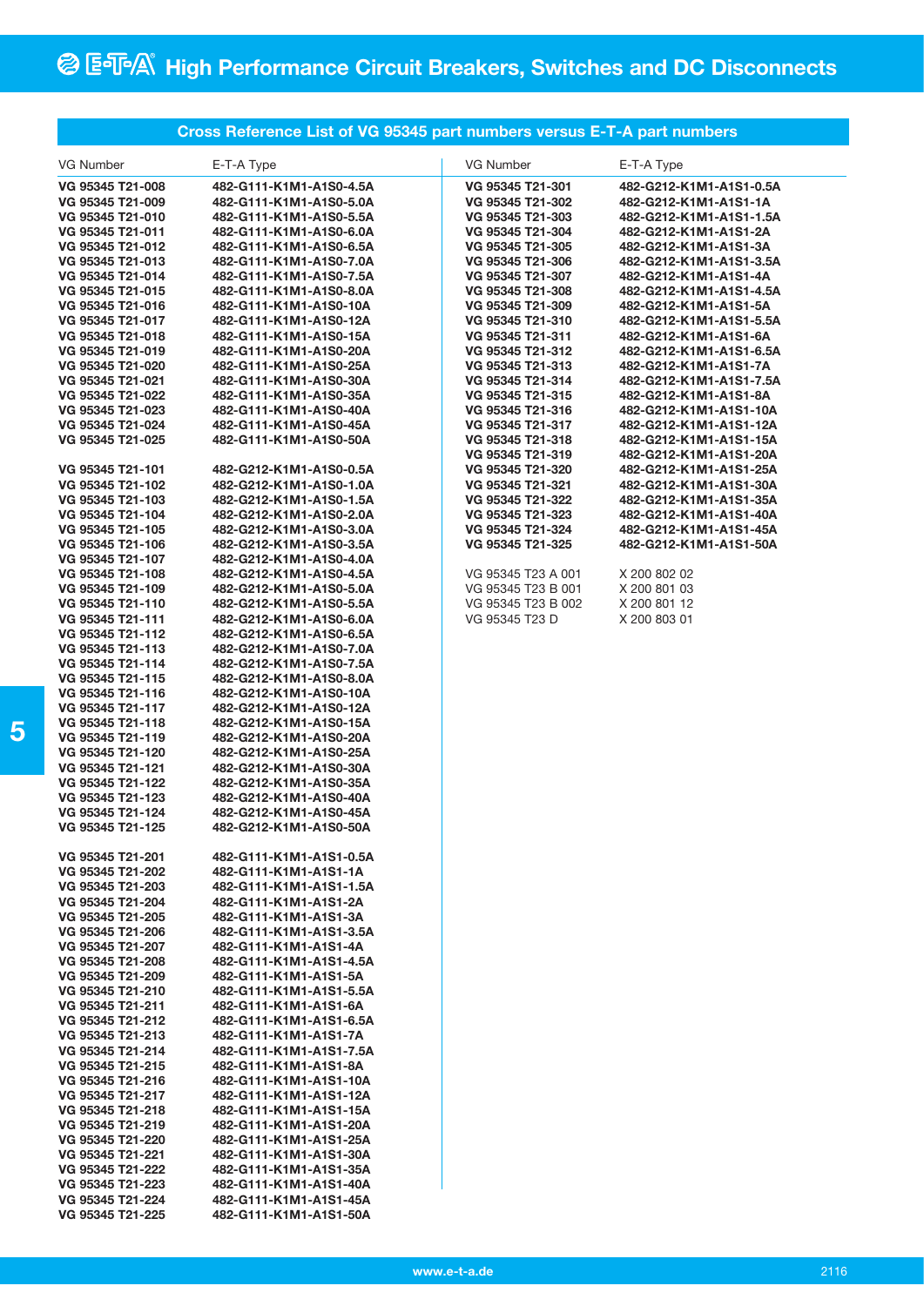## **Cross Reference List of VG 95345 part numbers versus E-T-A part numbers**

| VG Number        | E-T-A Type              | VG Number          | E-T-A Type              |
|------------------|-------------------------|--------------------|-------------------------|
|                  |                         |                    |                         |
| VG 95345 T21-008 | 482-G111-K1M1-A1S0-4.5A | VG 95345 T21-301   | 482-G212-K1M1-A1S1-0.5A |
| VG 95345 T21-009 | 482-G111-K1M1-A1S0-5.0A | VG 95345 T21-302   | 482-G212-K1M1-A1S1-1A   |
| VG 95345 T21-010 | 482-G111-K1M1-A1S0-5.5A | VG 95345 T21-303   | 482-G212-K1M1-A1S1-1.5A |
| VG 95345 T21-011 | 482-G111-K1M1-A1S0-6.0A | VG 95345 T21-304   | 482-G212-K1M1-A1S1-2A   |
| VG 95345 T21-012 | 482-G111-K1M1-A1S0-6.5A | VG 95345 T21-305   | 482-G212-K1M1-A1S1-3A   |
| VG 95345 T21-013 | 482-G111-K1M1-A1S0-7.0A | VG 95345 T21-306   | 482-G212-K1M1-A1S1-3.5A |
| VG 95345 T21-014 | 482-G111-K1M1-A1S0-7.5A | VG 95345 T21-307   | 482-G212-K1M1-A1S1-4A   |
| VG 95345 T21-015 | 482-G111-K1M1-A1S0-8.0A | VG 95345 T21-308   | 482-G212-K1M1-A1S1-4.5A |
| VG 95345 T21-016 | 482-G111-K1M1-A1S0-10A  | VG 95345 T21-309   | 482-G212-K1M1-A1S1-5A   |
| VG 95345 T21-017 | 482-G111-K1M1-A1S0-12A  | VG 95345 T21-310   | 482-G212-K1M1-A1S1-5.5A |
| VG 95345 T21-018 | 482-G111-K1M1-A1S0-15A  | VG 95345 T21-311   | 482-G212-K1M1-A1S1-6A   |
| VG 95345 T21-019 | 482-G111-K1M1-A1S0-20A  | VG 95345 T21-312   | 482-G212-K1M1-A1S1-6.5A |
| VG 95345 T21-020 | 482-G111-K1M1-A1S0-25A  | VG 95345 T21-313   | 482-G212-K1M1-A1S1-7A   |
| VG 95345 T21-021 | 482-G111-K1M1-A1S0-30A  | VG 95345 T21-314   | 482-G212-K1M1-A1S1-7.5A |
| VG 95345 T21-022 | 482-G111-K1M1-A1S0-35A  | VG 95345 T21-315   | 482-G212-K1M1-A1S1-8A   |
| VG 95345 T21-023 | 482-G111-K1M1-A1S0-40A  | VG 95345 T21-316   | 482-G212-K1M1-A1S1-10A  |
| VG 95345 T21-024 | 482-G111-K1M1-A1S0-45A  | VG 95345 T21-317   | 482-G212-K1M1-A1S1-12A  |
| VG 95345 T21-025 | 482-G111-K1M1-A1S0-50A  | VG 95345 T21-318   | 482-G212-K1M1-A1S1-15A  |
|                  |                         | VG 95345 T21-319   | 482-G212-K1M1-A1S1-20A  |
| VG 95345 T21-101 | 482-G212-K1M1-A1S0-0.5A | VG 95345 T21-320   | 482-G212-K1M1-A1S1-25A  |
| VG 95345 T21-102 | 482-G212-K1M1-A1S0-1.0A | VG 95345 T21-321   | 482-G212-K1M1-A1S1-30A  |
| VG 95345 T21-103 | 482-G212-K1M1-A1S0-1.5A | VG 95345 T21-322   | 482-G212-K1M1-A1S1-35A  |
| VG 95345 T21-104 | 482-G212-K1M1-A1S0-2.0A | VG 95345 T21-323   | 482-G212-K1M1-A1S1-40A  |
| VG 95345 T21-105 | 482-G212-K1M1-A1S0-3.0A | VG 95345 T21-324   | 482-G212-K1M1-A1S1-45A  |
| VG 95345 T21-106 | 482-G212-K1M1-A1S0-3.5A | VG 95345 T21-325   | 482-G212-K1M1-A1S1-50A  |
| VG 95345 T21-107 | 482-G212-K1M1-A1S0-4.0A |                    |                         |
| VG 95345 T21-108 | 482-G212-K1M1-A1S0-4.5A | VG 95345 T23 A 001 | X 200 802 02            |
| VG 95345 T21-109 | 482-G212-K1M1-A1S0-5.0A | VG 95345 T23 B 001 | X 200 801 03            |
| VG 95345 T21-110 | 482-G212-K1M1-A1S0-5.5A | VG 95345 T23 B 002 | X 200 801 12            |
| VG 95345 T21-111 | 482-G212-K1M1-A1S0-6.0A | VG 95345 T23 D     | X 200 803 01            |
|                  |                         |                    |                         |
| VG 95345 T21-112 | 482-G212-K1M1-A1S0-6.5A |                    |                         |
| VG 95345 T21-113 | 482-G212-K1M1-A1S0-7.0A |                    |                         |
| VG 95345 T21-114 | 482-G212-K1M1-A1S0-7.5A |                    |                         |
| VG 95345 T21-115 | 482-G212-K1M1-A1S0-8.0A |                    |                         |
| VG 95345 T21-116 | 482-G212-K1M1-A1S0-10A  |                    |                         |
| VG 95345 T21-117 | 482-G212-K1M1-A1S0-12A  |                    |                         |
| VG 95345 T21-118 | 482-G212-K1M1-A1S0-15A  |                    |                         |
| VG 95345 T21-119 | 482-G212-K1M1-A1S0-20A  |                    |                         |
| VG 95345 T21-120 | 482-G212-K1M1-A1S0-25A  |                    |                         |
| VG 95345 T21-121 | 482-G212-K1M1-A1S0-30A  |                    |                         |
| VG 95345 T21-122 | 482-G212-K1M1-A1S0-35A  |                    |                         |
| VG 95345 T21-123 | 482-G212-K1M1-A1S0-40A  |                    |                         |
| VG 95345 T21-124 | 482-G212-K1M1-A1S0-45A  |                    |                         |
| VG 95345 T21-125 | 482-G212-K1M1-A1S0-50A  |                    |                         |
|                  |                         |                    |                         |
| VG 95345 T21-201 | 482-G111-K1M1-A1S1-0.5A |                    |                         |
| VG 95345 T21-202 | 482-G111-K1M1-A1S1-1A   |                    |                         |
| VG 95345 T21-203 | 482-G111-K1M1-A1S1-1.5A |                    |                         |
| VG 95345 T21-204 | 482-G111-K1M1-A1S1-2A   |                    |                         |
| VG 95345 T21-205 | 482-G111-K1M1-A1S1-3A   |                    |                         |
| VG 95345 T21-206 | 482-G111-K1M1-A1S1-3.5A |                    |                         |
| VG 95345 T21-207 | 482-G111-K1M1-A1S1-4A   |                    |                         |
| VG 95345 T21-208 | 482-G111-K1M1-A1S1-4.5A |                    |                         |
| VG 95345 T21-209 | 482-G111-K1M1-A1S1-5A   |                    |                         |
| VG 95345 T21-210 | 482-G111-K1M1-A1S1-5.5A |                    |                         |
| VG 95345 T21-211 | 482-G111-K1M1-A1S1-6A   |                    |                         |
| VG 95345 T21-212 | 482-G111-K1M1-A1S1-6.5A |                    |                         |
| VG 95345 T21-213 | 482-G111-K1M1-A1S1-7A   |                    |                         |
| VG 95345 T21-214 | 482-G111-K1M1-A1S1-7.5A |                    |                         |
| VG 95345 T21-215 | 482-G111-K1M1-A1S1-8A   |                    |                         |
| VG 95345 T21-216 | 482-G111-K1M1-A1S1-10A  |                    |                         |
| VG 95345 T21-217 | 482-G111-K1M1-A1S1-12A  |                    |                         |
| VG 95345 T21-218 | 482-G111-K1M1-A1S1-15A  |                    |                         |
| VG 95345 T21-219 | 482-G111-K1M1-A1S1-20A  |                    |                         |
| VG 95345 T21-220 | 482-G111-K1M1-A1S1-25A  |                    |                         |
| VG 95345 T21-221 | 482-G111-K1M1-A1S1-30A  |                    |                         |
| VG 95345 T21-222 | 482-G111-K1M1-A1S1-35A  |                    |                         |
| VG 95345 T21-223 | 482-G111-K1M1-A1S1-40A  |                    |                         |
| VG 95345 T21-224 | 482-G111-K1M1-A1S1-45A  |                    |                         |
| VG 95345 T21-225 | 482-G111-K1M1-A1S1-50A  |                    |                         |